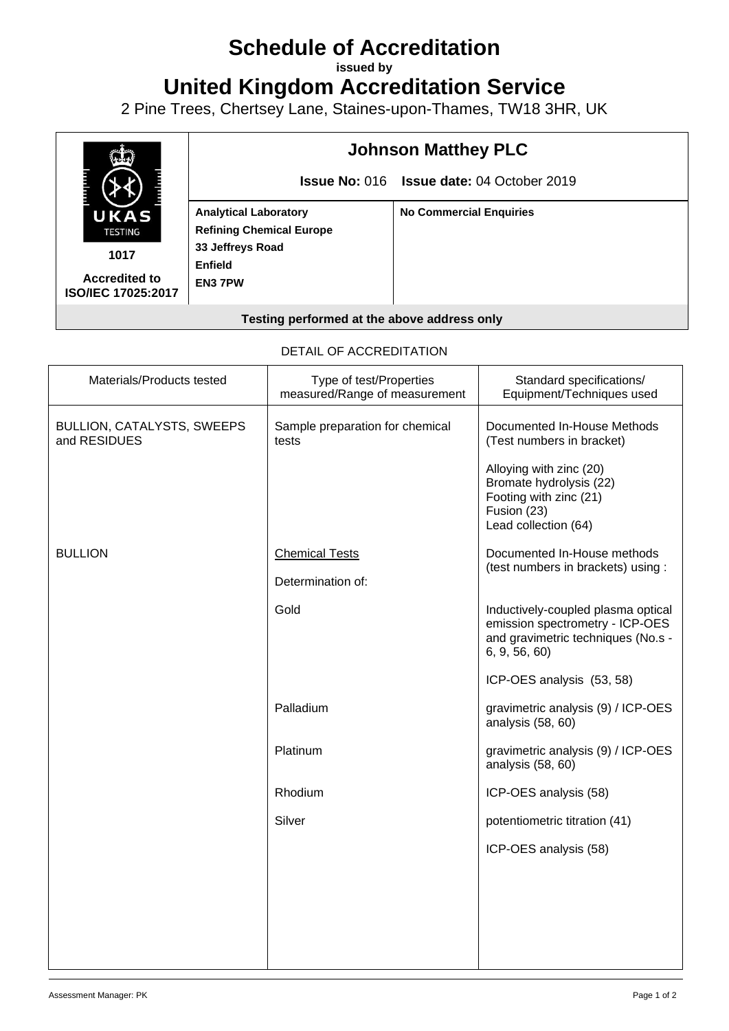## **Schedule of Accreditation**

**issued by**

**United Kingdom Accreditation Service**

2 Pine Trees, Chertsey Lane, Staines-upon-Thames, TW18 3HR, UK



## DETAIL OF ACCREDITATION

| Materials/Products tested                         | Type of test/Properties<br>measured/Range of measurement | Standard specifications/<br>Equipment/Techniques used                                                                        |
|---------------------------------------------------|----------------------------------------------------------|------------------------------------------------------------------------------------------------------------------------------|
| <b>BULLION, CATALYSTS, SWEEPS</b><br>and RESIDUES | Sample preparation for chemical<br>tests                 | Documented In-House Methods<br>(Test numbers in bracket)                                                                     |
|                                                   |                                                          | Alloying with zinc (20)<br>Bromate hydrolysis (22)<br>Footing with zinc (21)<br>Fusion (23)<br>Lead collection (64)          |
| <b>BULLION</b>                                    | <b>Chemical Tests</b>                                    | Documented In-House methods<br>(test numbers in brackets) using :                                                            |
|                                                   | Determination of:                                        |                                                                                                                              |
|                                                   | Gold                                                     | Inductively-coupled plasma optical<br>emission spectrometry - ICP-OES<br>and gravimetric techniques (No.s -<br>6, 9, 56, 60) |
|                                                   |                                                          | ICP-OES analysis (53, 58)                                                                                                    |
|                                                   | Palladium                                                | gravimetric analysis (9) / ICP-OES<br>analysis (58, 60)                                                                      |
|                                                   | Platinum                                                 | gravimetric analysis (9) / ICP-OES<br>analysis (58, 60)                                                                      |
|                                                   | Rhodium                                                  | ICP-OES analysis (58)                                                                                                        |
|                                                   | Silver                                                   | potentiometric titration (41)                                                                                                |
|                                                   |                                                          | ICP-OES analysis (58)                                                                                                        |
|                                                   |                                                          |                                                                                                                              |
|                                                   |                                                          |                                                                                                                              |
|                                                   |                                                          |                                                                                                                              |
|                                                   |                                                          |                                                                                                                              |